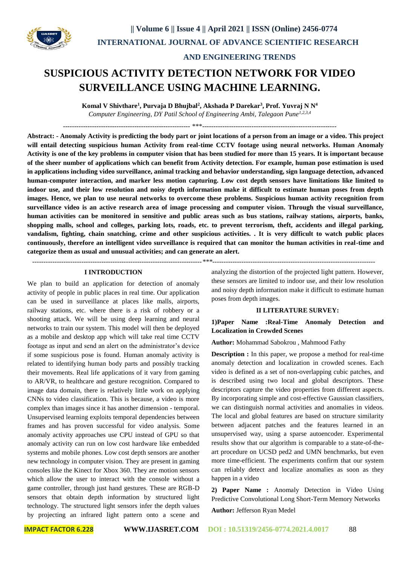

# **AND ENGINEERING TRENDS**

# **SUSPICIOUS ACTIVITY DETECTION NETWORK FOR VIDEO SURVEILLANCE USING MACHINE LEARNING.**

**Komal V Shivthare<sup>1</sup> , Purvaja D Bhujbal<sup>2</sup> , Akshada P Darekar<sup>3</sup> , Prof. Yuvraj N N<sup>4</sup>** *Computer Engineering, DY Patil School of Engineering Ambi, Talegaon Pune1,2,3,4*

--------------------------------------------------------- \*\*\*------------------------------------------------------------

**Abstract: - Anomaly Activity is predicting the body part or joint locations of a person from an image or a video. This project will entail detecting suspicious human Activity from real-time CCTV footage using neural networks. Human Anomaly Activity is one of the key problems in computer vision that has been studied for more than 15 years. It is important because of the sheer number of applications which can benefit from Activity detection. For example, human pose estimation is used in applications including video surveillance, animal tracking and behavior understanding, sign language detection, advanced human-computer interaction, and marker less motion capturing. Low cost depth sensors have limitations like limited to indoor use, and their low resolution and noisy depth information make it difficult to estimate human poses from depth images. Hence, we plan to use neural networks to overcome these problems. Suspicious human activity recognition from surveillance video is an active research area of image processing and computer vision. Through the visual surveillance, human activities can be monitored in sensitive and public areas such as bus stations, railway stations, airports, banks, shopping malls, school and colleges, parking lots, roads, etc. to prevent terrorism, theft, accidents and illegal parking, vandalism, fighting, chain snatching, crime and other suspicious activities. . It is very difficult to watch public places continuously, therefore an intelligent video surveillance is required that can monitor the human activities in real-time and categorize them as usual and unusual activities; and can generate an alert.**

*----------------------------------------------------------------------------\*\*\*-------------------------------------------------------------------------*

## **I INTRODUCTION**

We plan to build an application for detection of anomaly activity of people in public places in real time. Our application can be used in surveillance at places like malls, airports, railway stations, etc. where there is a risk of robbery or a shooting attack. We will be using deep learning and neural networks to train our system. This model will then be deployed as a mobile and desktop app which will take real time CCTV footage as input and send an alert on the administrator's device if some suspicious pose is found. Human anomaly activity is related to identifying human body parts and possibly tracking their movements. Real life applications of it vary from gaming to AR/VR, to healthcare and gesture recognition. Compared to image data domain, there is relatively little work on applying CNNs to video classification. This is because, a video is more complex than images since it has another dimension - temporal. Unsupervised learning exploits temporal dependencies between frames and has proven successful for video analysis. Some anomaly activity approaches use CPU instead of GPU so that anomaly activity can run on low cost hardware like embedded systems and mobile phones. Low cost depth sensors are another new technology in computer vision. They are present in gaming consoles like the Kinect for Xbox 360. They are motion sensors which allow the user to interact with the console without a game controller, through just hand gestures. These are RGB-D sensors that obtain depth information by structured light technology. The structured light sensors infer the depth values by projecting an infrared light pattern onto a scene and analyzing the distortion of the projected light pattern. However, these sensors are limited to indoor use, and their low resolution and noisy depth information make it difficult to estimate human poses from depth images.

#### **II LITERATURE SURVEY:**

# **1)Paper Name :Real-Time Anomaly Detection and Localization in Crowded Scenes**

**Author:** Mohammad Sabokrou , Mahmood Fathy

**Description :** In this paper, we propose a method for real-time anomaly detection and localization in crowded scenes. Each video is defined as a set of non-overlapping cubic patches, and is described using two local and global descriptors. These descriptors capture the video properties from different aspects. By incorporating simple and cost-effective Gaussian classifiers, we can distinguish normal activities and anomalies in videos. The local and global features are based on structure similarity between adjacent patches and the features learned in an unsupervised way, using a sparse autoencoder. Experimental results show that our algorithm is comparable to a state-of-theart procedure on UCSD ped2 and UMN benchmarks, but even more time-efficient. The experiments confirm that our system can reliably detect and localize anomalies as soon as they happen in a video

**2) Paper Name :** Anomaly Detection in Video Using Predictive Convolutional Long Short-Term Memory Networks

**Author:** Jefferson Ryan Medel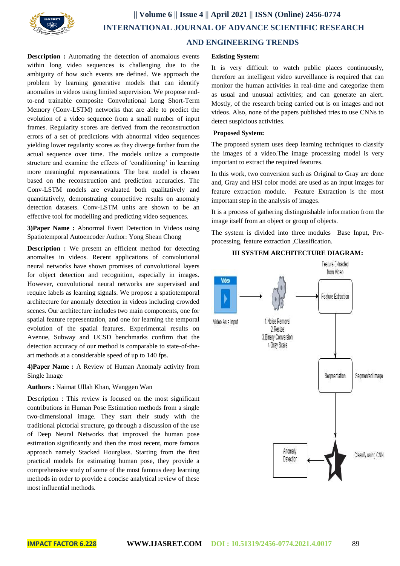

# **|| Volume 6 || Issue 4 || April 2021 || ISSN (Online) 2456-0774 INTERNATIONAL JOURNAL OF ADVANCE SCIENTIFIC RESEARCH AND ENGINEERING TRENDS**

**Description :** Automating the detection of anomalous events within long video sequences is challenging due to the ambiguity of how such events are defined. We approach the problem by learning generative models that can identify anomalies in videos using limited supervision. We propose endto-end trainable composite Convolutional Long Short-Term Memory (Conv-LSTM) networks that are able to predict the evolution of a video sequence from a small number of input frames. Regularity scores are derived from the reconstruction errors of a set of predictions with abnormal video sequences yielding lower regularity scores as they diverge further from the actual sequence over time. The models utilize a composite structure and examine the effects of 'conditioning' in learning more meaningful representations. The best model is chosen based on the reconstruction and prediction accuracies. The Conv-LSTM models are evaluated both qualitatively and quantitatively, demonstrating competitive results on anomaly detection datasets. Conv-LSTM units are shown to be an effective tool for modelling and predicting video sequences.

**3)Paper Name :** Abnormal Event Detection in Videos using Spatiotemporal Autoencoder Author: Yong Shean Chong

**Description :** We present an efficient method for detecting anomalies in videos. Recent applications of convolutional neural networks have shown promises of convolutional layers for object detection and recognition, especially in images. However, convolutional neural networks are supervised and require labels as learning signals. We propose a spatiotemporal architecture for anomaly detection in videos including crowded scenes. Our architecture includes two main components, one for spatial feature representation, and one for learning the temporal evolution of the spatial features. Experimental results on Avenue, Subway and UCSD benchmarks confirm that the detection accuracy of our method is comparable to state-of-theart methods at a considerable speed of up to 140 fps.

**4)Paper Name :** A Review of Human Anomaly activity from Single Image

### **Authors :** Naimat Ullah Khan, Wanggen Wan

Description : This review is focused on the most significant contributions in Human Pose Estimation methods from a single two-dimensional image. They start their study with the traditional pictorial structure, go through a discussion of the use of Deep Neural Networks that improved the human pose estimation significantly and then the most recent, more famous approach namely Stacked Hourglass. Starting from the first practical models for estimating human pose, they provide a comprehensive study of some of the most famous deep learning methods in order to provide a concise analytical review of these most influential methods.

#### **Existing System:**

It is very difficult to watch public places continuously, therefore an intelligent video surveillance is required that can monitor the human activities in real-time and categorize them as usual and unusual activities; and can generate an alert. Mostly, of the research being carried out is on images and not videos. Also, none of the papers published tries to use CNNs to detect suspicious activities.

#### **Proposed System:**

The proposed system uses deep learning techniques to classify the images of a video.The image processing model is very important to extract the required features.

In this work, two conversion such as Original to Gray are done and, Gray and HSI color model are used as an input images for feature extraction module. Feature Extraction is the most important step in the analysis of images.

It is a process of gathering distinguishable information from the image itself from an object or group of objects.

The system is divided into three modules Base Input, Preprocessing, feature extraction ,Classification.

# Feature Extracted from Video Video **Feature Extraction** 1 Noise Removal Video As a Input 2. Resize 3. Binary Conversion 4. Gray Scale Segmentation Segmented Image Anomaly Classify using CNN Detection

#### **III SYSTEM ARCHITECTURE DIAGRAM:**